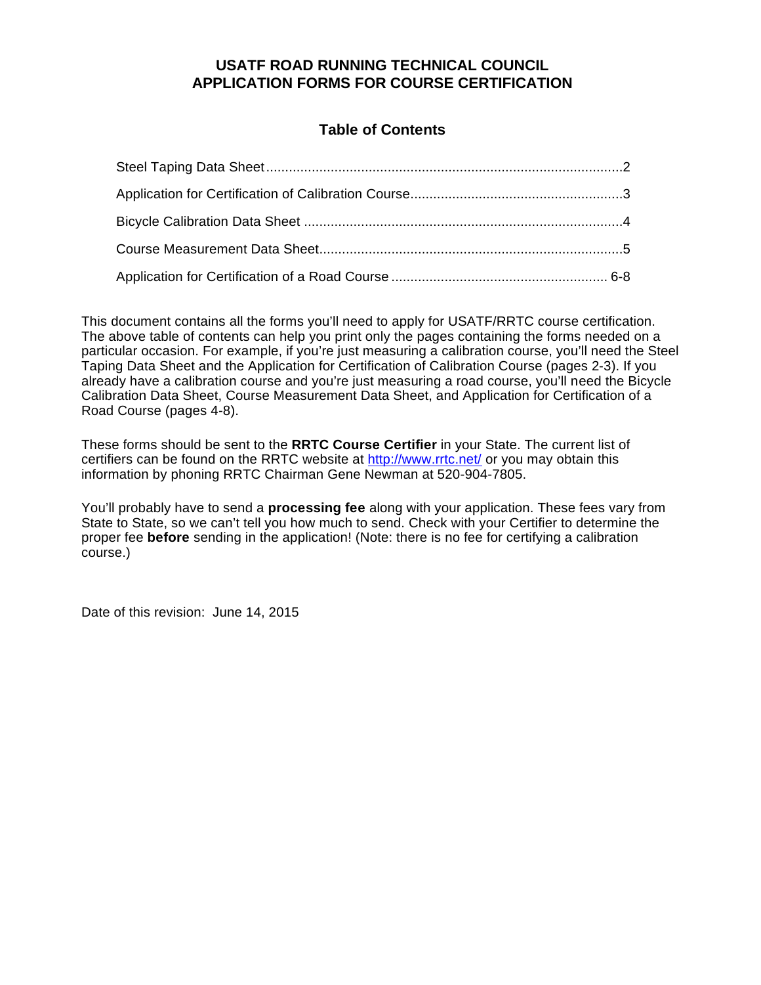# **USATF ROAD RUNNING TECHNICAL COUNCIL APPLICATION FORMS FOR COURSE CERTIFICATION**

# **Table of Contents**

This document contains all the forms you'll need to apply for USATF/RRTC course certification. The above table of contents can help you print only the pages containing the forms needed on a particular occasion. For example, if you're just measuring a calibration course, you'll need the Steel Taping Data Sheet and the Application for Certification of Calibration Course (pages 2-3). If you already have a calibration course and you're just measuring a road course, you'll need the Bicycle Calibration Data Sheet, Course Measurement Data Sheet, and Application for Certification of a Road Course (pages 4-8).

These forms should be sent to the **RRTC Course Certifier** in your State. The current list of certifiers can be found on the RRTC website at <http://www.rrtc.net/> or you may obtain this information by phoning RRTC Chairman Gene Newman at 520-904-7805.

You'll probably have to send a **processing fee** along with your application. These fees vary from State to State, so we can't tell you how much to send. Check with your Certifier to determine the proper fee **before** sending in the application! (Note: there is no fee for certifying a calibration course.)

Date of this revision: June 14, 2015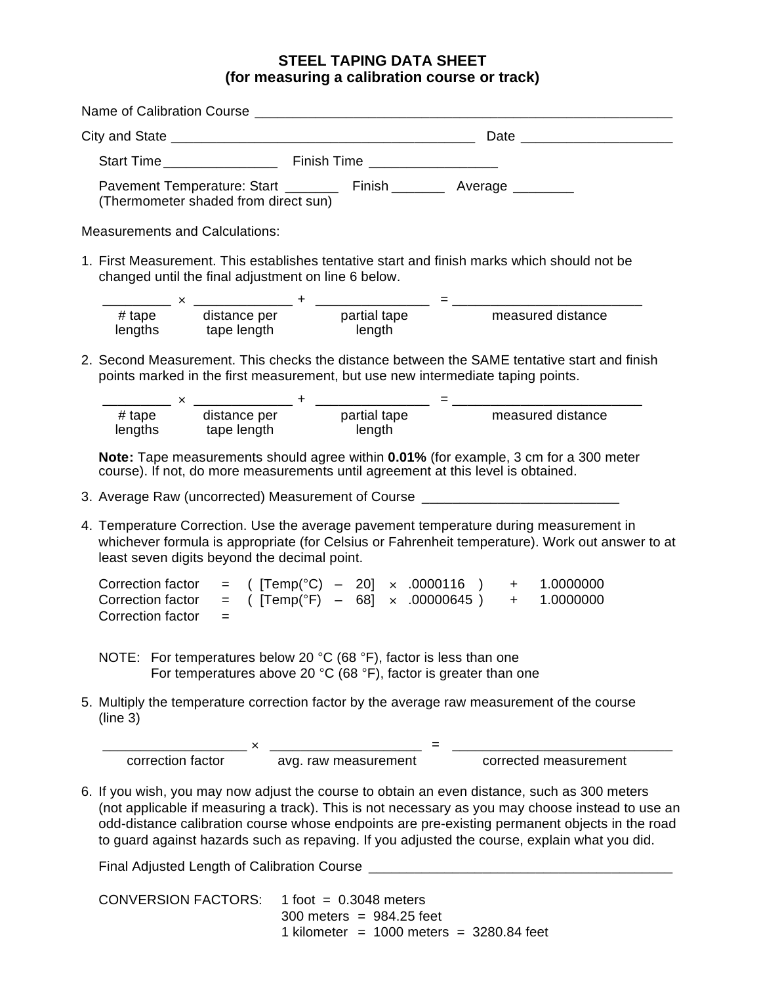## **STEEL TAPING DATA SHEET (for measuring a calibration course or track)**

| Pavement Temperature: Start ________ Finish ________ Average ________<br>(Thermometer shaded from direct sun)                                                                                                                                                                                                                                                                                       |                                                             |  |  |
|-----------------------------------------------------------------------------------------------------------------------------------------------------------------------------------------------------------------------------------------------------------------------------------------------------------------------------------------------------------------------------------------------------|-------------------------------------------------------------|--|--|
| <b>Measurements and Calculations:</b>                                                                                                                                                                                                                                                                                                                                                               |                                                             |  |  |
| 1. First Measurement. This establishes tentative start and finish marks which should not be<br>changed until the final adjustment on line 6 below.                                                                                                                                                                                                                                                  |                                                             |  |  |
| $\frac{1}{2}$ $\frac{1}{4}$ tape $\frac{1}{4}$ distance per $\frac{1}{4}$ $\frac{1}{4}$ $\frac{1}{4}$ $\frac{1}{4}$ $\frac{1}{4}$ tape $\frac{1}{4}$ distance per $\frac{1}{4}$ $\frac{1}{4}$ $\frac{1}{4}$ $\frac{1}{4}$ $\frac{1}{4}$ $\frac{1}{4}$ $\frac{1}{4}$ $\frac{1}{4}$ $\frac{1}{4}$ $\frac{1$<br>lengths tape length length                                                             |                                                             |  |  |
| 2. Second Measurement. This checks the distance between the SAME tentative start and finish<br>points marked in the first measurement, but use new intermediate taping points.                                                                                                                                                                                                                      |                                                             |  |  |
| $\frac{1}{\frac{1}{4} \text{ tape}} \times \frac{1}{\frac{1}{4} \text{ distance per}}$ + $\frac{1}{\frac{1}{4} \text{ length}}$ = $\frac{1}{\frac{1}{4} \text{ length}}$ = $\frac{1}{\frac{1}{4} \text{ length}}$ = $\frac{1}{\frac{1}{4} \text{ length}}$ = $\frac{1}{\frac{1}{4} \text{ length}}$ = $\frac{1}{4}$ = $\frac{1}{4}$ = $\frac{1}{4}$ = $\frac{1}{4}$ = $\frac{1}{4}$ = $\frac{1}{4}$ |                                                             |  |  |
| Note: Tape measurements should agree within 0.01% (for example, 3 cm for a 300 meter<br>course). If not, do more measurements until agreement at this level is obtained.                                                                                                                                                                                                                            |                                                             |  |  |
| 3. Average Raw (uncorrected) Measurement of Course _____________________________                                                                                                                                                                                                                                                                                                                    |                                                             |  |  |
| 4. Temperature Correction. Use the average pavement temperature during measurement in<br>whichever formula is appropriate (for Celsius or Fahrenheit temperature). Work out answer to at<br>least seven digits beyond the decimal point.                                                                                                                                                            |                                                             |  |  |
| Correction factor = $( [Temp(^{\circ}C) - 20] \times .0000116 )$ + 1.0000000<br>Correction factor<br>Correction factor<br>$=$                                                                                                                                                                                                                                                                       | = $( [Temp(^{\circ}F) - 68] \times .00000645 )$ + 1.0000000 |  |  |
| NOTE: For temperatures below 20 °C (68 °F), factor is less than one<br>For temperatures above 20 $^{\circ}$ C (68 $^{\circ}$ F), factor is greater than one                                                                                                                                                                                                                                         |                                                             |  |  |
| 5. Multiply the temperature correction factor by the average raw measurement of the course<br>(line 3)                                                                                                                                                                                                                                                                                              |                                                             |  |  |
| $\frac{1}{2}$ x $\frac{1}{2}$ x $\frac{1}{2}$ = $\frac{1}{2}$ = $\frac{1}{2}$ correction factor                                                                                                                                                                                                                                                                                                     |                                                             |  |  |
|                                                                                                                                                                                                                                                                                                                                                                                                     |                                                             |  |  |
| 6. If you wish, you may now adjust the course to obtain an even distance, such as 300 meters<br>(not applicable if measuring a track). This is not necessary as you may choose instead to use an<br>odd-distance calibration course whose endpoints are pre-existing permanent objects in the road<br>to guard against hazards such as repaving. If you adjusted the course, explain what you did.  |                                                             |  |  |
|                                                                                                                                                                                                                                                                                                                                                                                                     |                                                             |  |  |

| $CONVERSION FACTORS: 1 foot = 0.3048 meters$ |                                            |
|----------------------------------------------|--------------------------------------------|
|                                              | $300$ meters = 984.25 feet                 |
|                                              | 1 kilometer = 1000 meters = $3280.84$ feet |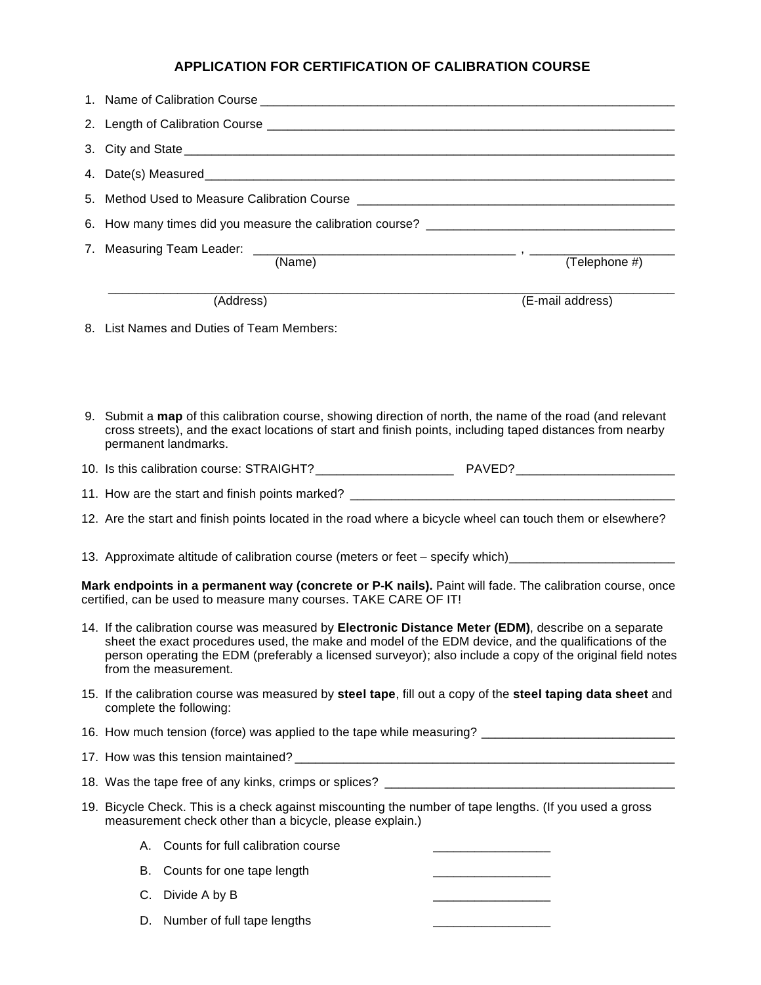# **APPLICATION FOR CERTIFICATION OF CALIBRATION COURSE**

|    |                                           |                                                                  | (Telephone #)                                                                                                                                                                                                                                                                                                               |  |
|----|-------------------------------------------|------------------------------------------------------------------|-----------------------------------------------------------------------------------------------------------------------------------------------------------------------------------------------------------------------------------------------------------------------------------------------------------------------------|--|
|    | (Address)                                 |                                                                  | (E-mail address)                                                                                                                                                                                                                                                                                                            |  |
|    | 8. List Names and Duties of Team Members: |                                                                  |                                                                                                                                                                                                                                                                                                                             |  |
|    | permanent landmarks.                      |                                                                  | 9. Submit a map of this calibration course, showing direction of north, the name of the road (and relevant<br>cross streets), and the exact locations of start and finish points, including taped distances from nearby                                                                                                     |  |
|    |                                           |                                                                  |                                                                                                                                                                                                                                                                                                                             |  |
|    |                                           |                                                                  |                                                                                                                                                                                                                                                                                                                             |  |
|    |                                           |                                                                  | 12. Are the start and finish points located in the road where a bicycle wheel can touch them or elsewhere?                                                                                                                                                                                                                  |  |
|    |                                           |                                                                  | 13. Approximate altitude of calibration course (meters or feet - specify which)_____________________                                                                                                                                                                                                                        |  |
|    |                                           | certified, can be used to measure many courses. TAKE CARE OF IT! | Mark endpoints in a permanent way (concrete or P-K nails). Paint will fade. The calibration course, once                                                                                                                                                                                                                    |  |
|    | from the measurement.                     |                                                                  | 14. If the calibration course was measured by Electronic Distance Meter (EDM), describe on a separate<br>sheet the exact procedures used, the make and model of the EDM device, and the qualifications of the<br>person operating the EDM (preferably a licensed surveyor); also include a copy of the original field notes |  |
|    | complete the following:                   |                                                                  | 15. If the calibration course was measured by steel tape, fill out a copy of the steel taping data sheet and                                                                                                                                                                                                                |  |
|    |                                           |                                                                  | 16. How much tension (force) was applied to the tape while measuring? _____________________________                                                                                                                                                                                                                         |  |
|    |                                           |                                                                  |                                                                                                                                                                                                                                                                                                                             |  |
|    |                                           |                                                                  |                                                                                                                                                                                                                                                                                                                             |  |
|    |                                           | measurement check other than a bicycle, please explain.)         | 19. Bicycle Check. This is a check against miscounting the number of tape lengths. (If you used a gross                                                                                                                                                                                                                     |  |
|    | A. Counts for full calibration course     |                                                                  |                                                                                                                                                                                                                                                                                                                             |  |
| В. | Counts for one tape length                |                                                                  |                                                                                                                                                                                                                                                                                                                             |  |
|    | C. Divide A by B                          |                                                                  |                                                                                                                                                                                                                                                                                                                             |  |
| D. | Number of full tape lengths               |                                                                  |                                                                                                                                                                                                                                                                                                                             |  |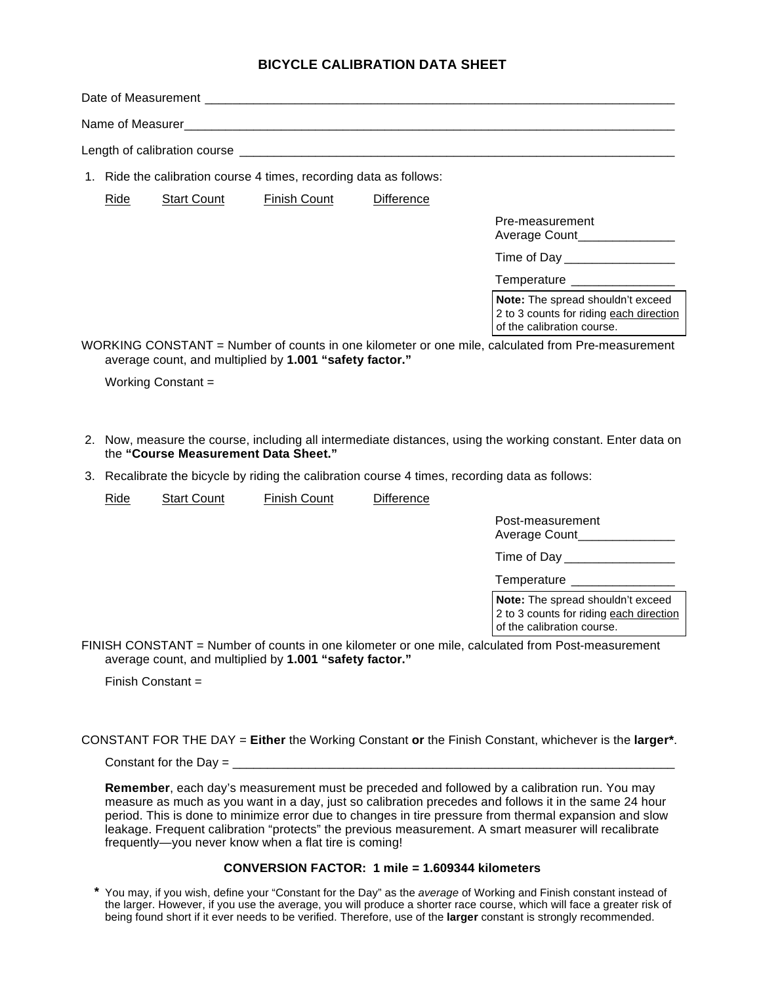### **BICYCLE CALIBRATION DATA SHEET**

|                                                                                                                                                              |      |                                      | 1. Ride the calibration course 4 times, recording data as follows: |            |                                                                                                             |
|--------------------------------------------------------------------------------------------------------------------------------------------------------------|------|--------------------------------------|--------------------------------------------------------------------|------------|-------------------------------------------------------------------------------------------------------------|
|                                                                                                                                                              | Ride | <b>Start Count</b>                   | <b>Finish Count</b>                                                | Difference |                                                                                                             |
|                                                                                                                                                              |      |                                      |                                                                    |            | Pre-measurement<br>Average Count________________                                                            |
|                                                                                                                                                              |      |                                      |                                                                    |            | Time of Day __________________                                                                              |
|                                                                                                                                                              |      |                                      |                                                                    |            | Temperature _________________                                                                               |
|                                                                                                                                                              |      |                                      |                                                                    |            | Note: The spread shouldn't exceed<br>2 to 3 counts for riding each direction<br>of the calibration course.  |
| WORKING CONSTANT = Number of counts in one kilometer or one mile, calculated from Pre-measurement<br>average count, and multiplied by 1.001 "safety factor." |      |                                      |                                                                    |            |                                                                                                             |
|                                                                                                                                                              |      | Working Constant =                   |                                                                    |            |                                                                                                             |
|                                                                                                                                                              |      |                                      |                                                                    |            |                                                                                                             |
|                                                                                                                                                              |      | the "Course Measurement Data Sheet." |                                                                    |            | 2. Now, measure the course, including all intermediate distances, using the working constant. Enter data on |

3. Recalibrate the bicycle by riding the calibration course 4 times, recording data as follows:

Ride Start Count Finish Count Difference Post-measurement Average Count Time of Day \_\_\_\_\_\_\_\_\_\_\_\_\_\_\_\_ Temperature \_\_\_\_\_\_\_\_\_ FINISH CONSTANT = Number of counts in one kilometer or one mile, calculated from Post-measurement **Note:** The spread shouldn't exceed 2 to 3 counts for riding each direction of the calibration course.

average count, and multiplied by **1.001 "safety factor."**

Finish Constant  $=$ 

CONSTANT FOR THE DAY = **Either** the Working Constant **or** the Finish Constant, whichever is the **larger\***.

Constant for the Day = \_\_\_\_\_\_\_\_\_\_\_\_\_\_\_\_\_\_\_\_\_\_\_\_\_\_\_\_\_\_\_\_\_\_\_\_\_\_\_\_\_\_\_\_\_\_\_\_\_\_\_\_\_\_\_\_\_\_\_\_\_\_\_\_

**Remember**, each day's measurement must be preceded and followed by a calibration run. You may measure as much as you want in a day, just so calibration precedes and follows it in the same 24 hour period. This is done to minimize error due to changes in tire pressure from thermal expansion and slow leakage. Frequent calibration "protects" the previous measurement. A smart measurer will recalibrate frequently—you never know when a flat tire is coming!

#### **CONVERSION FACTOR: 1 mile = 1.609344 kilometers**

**\*** You may, if you wish, define your "Constant for the Day" as the *average* of Working and Finish constant instead of the larger. However, if you use the average, you will produce a shorter race course, which will face a greater risk of being found short if it ever needs to be verified. Therefore, use of the **larger** constant is strongly recommended.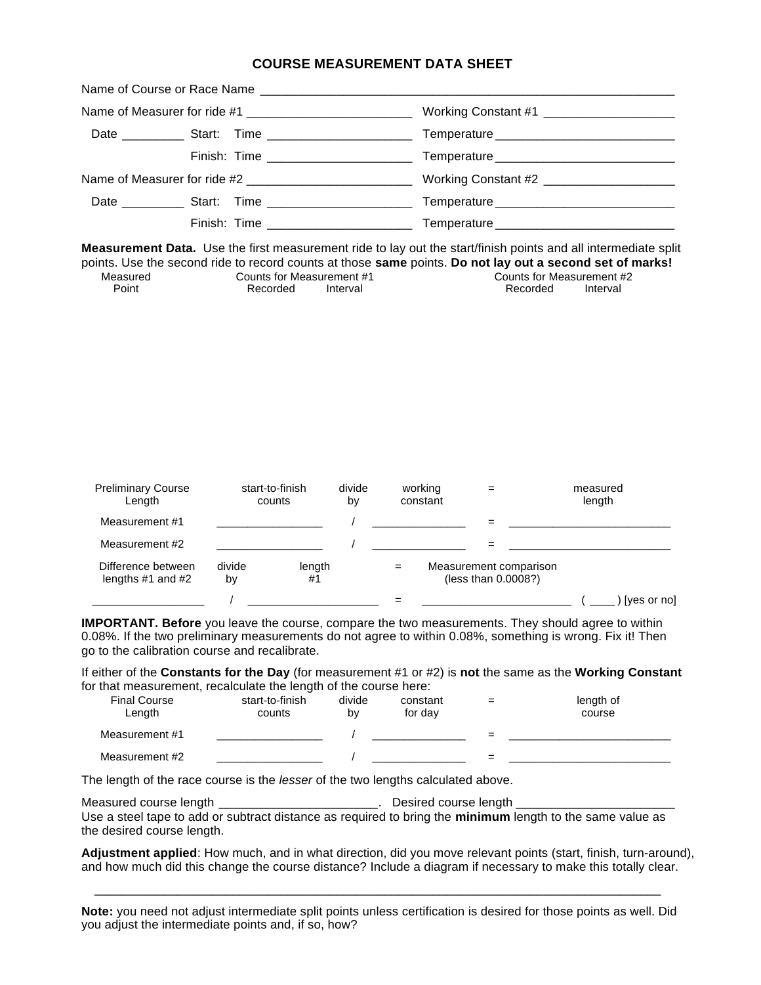#### **COURSE MEASUREMENT DATA SHEET**

**Measurement Data.** Use the first measurement ride to lay out the start/finish points and all intermediate split points. Use the second ride to record counts at those **same** points. **Do not lay out a second set of marks!**

| Measured | Counts for Measurement #1 | Counts for Measurement #2 |
|----------|---------------------------|---------------------------|
|          |                           |                           |
| Point    | Recorded<br>Interval      | Interval<br>Recorded      |

| <b>Preliminary Course</b><br>Length         |              | start-to-finish<br>counts | divide<br>by | working<br>constant |                                               | measured<br>length |             |
|---------------------------------------------|--------------|---------------------------|--------------|---------------------|-----------------------------------------------|--------------------|-------------|
| Measurement #1                              |              |                           |              |                     |                                               |                    |             |
| Measurement #2                              |              |                           |              |                     |                                               |                    |             |
| Difference between<br>lengths $#1$ and $#2$ | divide<br>by | length<br>#1              |              |                     | Measurement comparison<br>(less than 0.0008?) |                    |             |
|                                             |              |                           |              |                     |                                               |                    | [yes or no] |

**IMPORTANT. Before** you leave the course, compare the two measurements. They should agree to within 0.08%. If the two preliminary measurements do not agree to within 0.08%, something is wrong. Fix it! Then go to the calibration course and recalibrate.

If either of the **Constants for the Day** (for measurement #1 or #2) is **not** the same as the **Working Constant** for that measurement, recalculate the length of the course here:

| <b>Final Course</b><br>Length | start-to-finish<br>counts | divide<br>b٧ | constant<br>for dav | $=$ | length of<br>course |
|-------------------------------|---------------------------|--------------|---------------------|-----|---------------------|
| Measurement #1                |                           |              |                     | =   |                     |
| Measurement #2                |                           |              |                     |     |                     |

The length of the race course is the *lesser* of the two lengths calculated above.

Measured course length \_\_\_\_\_\_\_\_\_\_\_\_\_\_\_\_\_\_\_\_\_\_\_\_\_\_\_. Desired course length \_ Use a steel tape to add or subtract distance as required to bring the **minimum** length to the same value as the desired course length.

**Adjustment applied**: How much, and in what direction, did you move relevant points (start, finish, turn-around), and how much did this change the course distance? Include a diagram if necessary to make this totally clear.

**Note:** you need not adjust intermediate split points unless certification is desired for those points as well. Did you adjust the intermediate points and, if so, how?

\_\_\_\_\_\_\_\_\_\_\_\_\_\_\_\_\_\_\_\_\_\_\_\_\_\_\_\_\_\_\_\_\_\_\_\_\_\_\_\_\_\_\_\_\_\_\_\_\_\_\_\_\_\_\_\_\_\_\_\_\_\_\_\_\_\_\_\_\_\_\_\_\_\_\_\_\_\_\_\_\_\_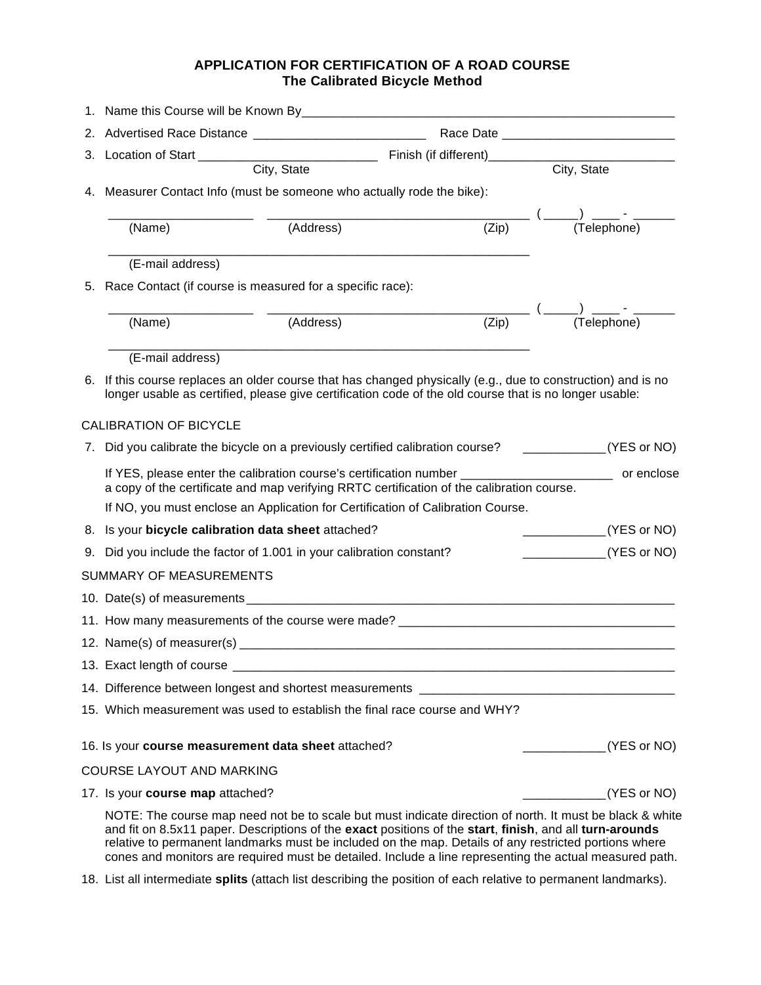## **APPLICATION FOR CERTIFICATION OF A ROAD COURSE The Calibrated Bicycle Method**

|    |                                         | City, State                                                            |                                                                                                                                                                                                                  | City, State                                                                                                  |
|----|-----------------------------------------|------------------------------------------------------------------------|------------------------------------------------------------------------------------------------------------------------------------------------------------------------------------------------------------------|--------------------------------------------------------------------------------------------------------------|
|    |                                         | 4. Measurer Contact Info (must be someone who actually rode the bike): |                                                                                                                                                                                                                  |                                                                                                              |
|    |                                         |                                                                        | $\frac{1}{(\text{Zip})}$ (                                                                                                                                                                                       | ___(_____)____-_____<br>(Telephone)                                                                          |
|    | (Name)                                  | (Address)                                                              |                                                                                                                                                                                                                  |                                                                                                              |
|    | (E-mail address)                        |                                                                        |                                                                                                                                                                                                                  |                                                                                                              |
| 5. |                                         | Race Contact (if course is measured for a specific race):              |                                                                                                                                                                                                                  |                                                                                                              |
|    |                                         |                                                                        |                                                                                                                                                                                                                  |                                                                                                              |
|    | (Name)                                  | (Address)                                                              | $\overline{(Zip)}$                                                                                                                                                                                               |                                                                                                              |
|    | (E-mail address)                        |                                                                        |                                                                                                                                                                                                                  |                                                                                                              |
| 6. |                                         |                                                                        | If this course replaces an older course that has changed physically (e.g., due to construction) and is no                                                                                                        |                                                                                                              |
|    |                                         |                                                                        | longer usable as certified, please give certification code of the old course that is no longer usable:                                                                                                           |                                                                                                              |
|    | <b>CALIBRATION OF BICYCLE</b>           |                                                                        |                                                                                                                                                                                                                  |                                                                                                              |
|    |                                         |                                                                        | 7. Did you calibrate the bicycle on a previously certified calibration course? ____________(YES or NO)                                                                                                           |                                                                                                              |
|    |                                         |                                                                        | a copy of the certificate and map verifying RRTC certification of the calibration course.                                                                                                                        | If YES, please enter the calibration course's certification number ______________________________ or enclose |
|    |                                         |                                                                        | If NO, you must enclose an Application for Certification of Calibration Course.                                                                                                                                  |                                                                                                              |
|    |                                         | 8. Is your bicycle calibration data sheet attached?                    |                                                                                                                                                                                                                  | ______________(YES or NO)                                                                                    |
|    |                                         | 9. Did you include the factor of 1.001 in your calibration constant?   |                                                                                                                                                                                                                  | $\frac{1}{2}$ (YES or NO)                                                                                    |
|    | <b>SUMMARY OF MEASUREMENTS</b>          |                                                                        |                                                                                                                                                                                                                  |                                                                                                              |
|    |                                         |                                                                        |                                                                                                                                                                                                                  |                                                                                                              |
|    |                                         |                                                                        | 11. How many measurements of the course were made? ______________________________                                                                                                                                |                                                                                                              |
|    |                                         |                                                                        |                                                                                                                                                                                                                  |                                                                                                              |
|    | 13. Exact length of course __           |                                                                        |                                                                                                                                                                                                                  |                                                                                                              |
|    |                                         |                                                                        | 14. Difference between longest and shortest measurements _______________________                                                                                                                                 |                                                                                                              |
|    |                                         |                                                                        | 15. Which measurement was used to establish the final race course and WHY?                                                                                                                                       |                                                                                                              |
|    |                                         | 16. Is your course measurement data sheet attached?                    |                                                                                                                                                                                                                  | (YES or NO)                                                                                                  |
|    | <b>COURSE LAYOUT AND MARKING</b>        |                                                                        |                                                                                                                                                                                                                  |                                                                                                              |
|    | 17. Is your <b>course map</b> attached? |                                                                        |                                                                                                                                                                                                                  | (YES or NO)                                                                                                  |
|    |                                         |                                                                        | and fit on 8.5x11 paper. Descriptions of the exact positions of the start, finish, and all turn-arounds<br>relative to permanent landmarks must be included on the map. Details of any restricted portions where | NOTE: The course map need not be to scale but must indicate direction of north. It must be black & white     |

18. List all intermediate **splits** (attach list describing the position of each relative to permanent landmarks).

cones and monitors are required must be detailed. Include a line representing the actual measured path.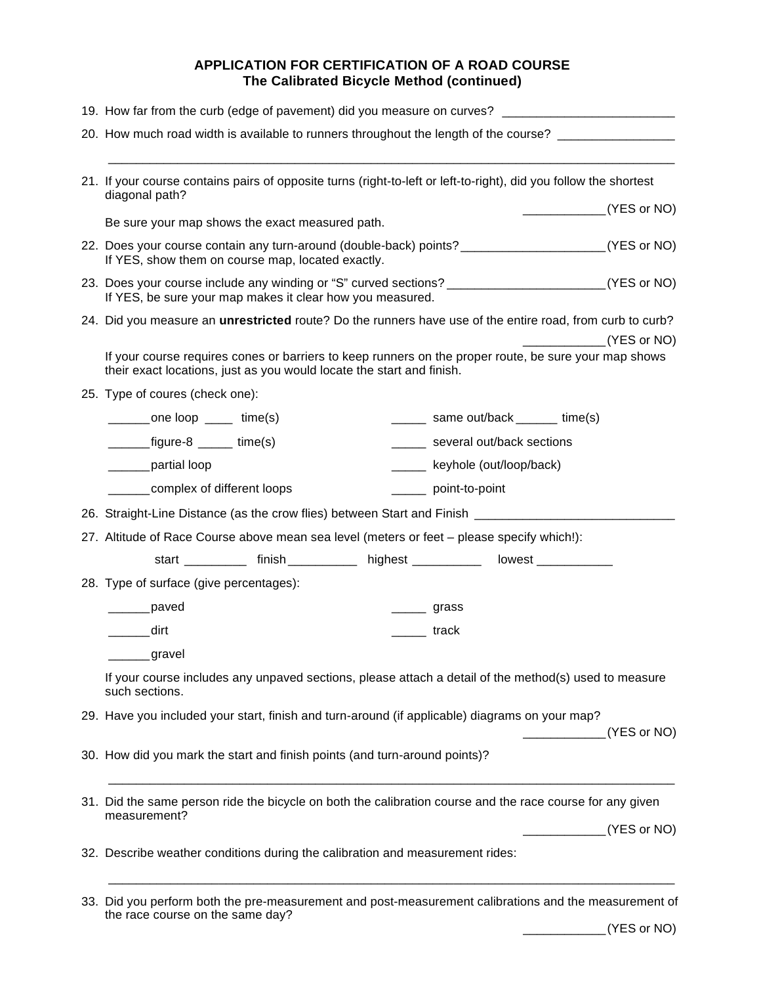# **APPLICATION FOR CERTIFICATION OF A ROAD COURSE The Calibrated Bicycle Method (continued)**

| 19. How far from the curb (edge of pavement) did you measure on curves? ___________________________                                                                                                                                                                                                                                                                                                                                                      |             |
|----------------------------------------------------------------------------------------------------------------------------------------------------------------------------------------------------------------------------------------------------------------------------------------------------------------------------------------------------------------------------------------------------------------------------------------------------------|-------------|
| 20. How much road width is available to runners throughout the length of the course? _______________                                                                                                                                                                                                                                                                                                                                                     |             |
|                                                                                                                                                                                                                                                                                                                                                                                                                                                          |             |
| 21. If your course contains pairs of opposite turns (right-to-left or left-to-right), did you follow the shortest<br>diagonal path?                                                                                                                                                                                                                                                                                                                      |             |
| $\frac{1}{2}$ (YES or NO)<br>Be sure your map shows the exact measured path.                                                                                                                                                                                                                                                                                                                                                                             |             |
| 22. Does your course contain any turn-around (double-back) points? _______________________(YES or NO)                                                                                                                                                                                                                                                                                                                                                    |             |
| If YES, show them on course map, located exactly.                                                                                                                                                                                                                                                                                                                                                                                                        |             |
| 23. Does your course include any winding or "S" curved sections? _________________________(YES or NO)<br>If YES, be sure your map makes it clear how you measured.                                                                                                                                                                                                                                                                                       |             |
| 24. Did you measure an <i>unrestricted</i> route? Do the runners have use of the entire road, from curb to curb?                                                                                                                                                                                                                                                                                                                                         |             |
|                                                                                                                                                                                                                                                                                                                                                                                                                                                          | (YES or NO) |
| If your course requires cones or barriers to keep runners on the proper route, be sure your map shows<br>their exact locations, just as you would locate the start and finish.                                                                                                                                                                                                                                                                           |             |
| 25. Type of coures (check one):                                                                                                                                                                                                                                                                                                                                                                                                                          |             |
| _______one loop _____ time(s)<br>_______ same out/back _______ time(s)                                                                                                                                                                                                                                                                                                                                                                                   |             |
| $\frac{1}{\sqrt{1-\frac{1}{2}}\sqrt{1-\frac{1}{2}}\sqrt{1-\frac{1}{2}}\sqrt{1-\frac{1}{2}}\sqrt{1-\frac{1}{2}}\sqrt{1-\frac{1}{2}}\sqrt{1-\frac{1}{2}}\sqrt{1-\frac{1}{2}}\sqrt{1-\frac{1}{2}}\sqrt{1-\frac{1}{2}}\sqrt{1-\frac{1}{2}}\sqrt{1-\frac{1}{2}}\sqrt{1-\frac{1}{2}}\sqrt{1-\frac{1}{2}}\sqrt{1-\frac{1}{2}}\sqrt{1-\frac{1}{2}}\sqrt{1-\frac{1}{2}}\sqrt{1-\frac{1}{2}}\sqrt{1-\frac{1}{2}}\sqrt{1-\frac$<br>______ several out/back sections |             |
| _____ keyhole (out/loop/back)<br>______partial loop                                                                                                                                                                                                                                                                                                                                                                                                      |             |
| ______complex of different loops<br>______ point-to-point                                                                                                                                                                                                                                                                                                                                                                                                |             |
| 26. Straight-Line Distance (as the crow flies) between Start and Finish ____________________________                                                                                                                                                                                                                                                                                                                                                     |             |
| 27. Altitude of Race Course above mean sea level (meters or feet - please specify which!):                                                                                                                                                                                                                                                                                                                                                               |             |
| start ___________ finish _____________ highest ____________ lowest _____________                                                                                                                                                                                                                                                                                                                                                                         |             |
| 28. Type of surface (give percentages):                                                                                                                                                                                                                                                                                                                                                                                                                  |             |
| ______paved<br>$\frac{1}{\sqrt{1}}$ grass                                                                                                                                                                                                                                                                                                                                                                                                                |             |
| dirt) dirt<br><b>track</b>                                                                                                                                                                                                                                                                                                                                                                                                                               |             |
| _____gravel                                                                                                                                                                                                                                                                                                                                                                                                                                              |             |
| If your course includes any unpaved sections, please attach a detail of the method(s) used to measure<br>such sections.                                                                                                                                                                                                                                                                                                                                  |             |
| 29. Have you included your start, finish and turn-around (if applicable) diagrams on your map?                                                                                                                                                                                                                                                                                                                                                           |             |
|                                                                                                                                                                                                                                                                                                                                                                                                                                                          | (YES or NO) |
| 30. How did you mark the start and finish points (and turn-around points)?                                                                                                                                                                                                                                                                                                                                                                               |             |
| 31. Did the same person ride the bicycle on both the calibration course and the race course for any given                                                                                                                                                                                                                                                                                                                                                |             |
| measurement?                                                                                                                                                                                                                                                                                                                                                                                                                                             | (YES or NO) |
| 32. Describe weather conditions during the calibration and measurement rides:                                                                                                                                                                                                                                                                                                                                                                            |             |
| 33. Did you perform both the pre-measurement and post-measurement calibrations and the measurement of                                                                                                                                                                                                                                                                                                                                                    |             |

| 33. Did you perform both the pre-measurement and post-measurement calibrations and the measurement of |  |
|-------------------------------------------------------------------------------------------------------|--|
| the race course on the same day?                                                                      |  |
|                                                                                                       |  |

\_\_\_\_\_\_\_\_\_\_\_\_(YES or NO)